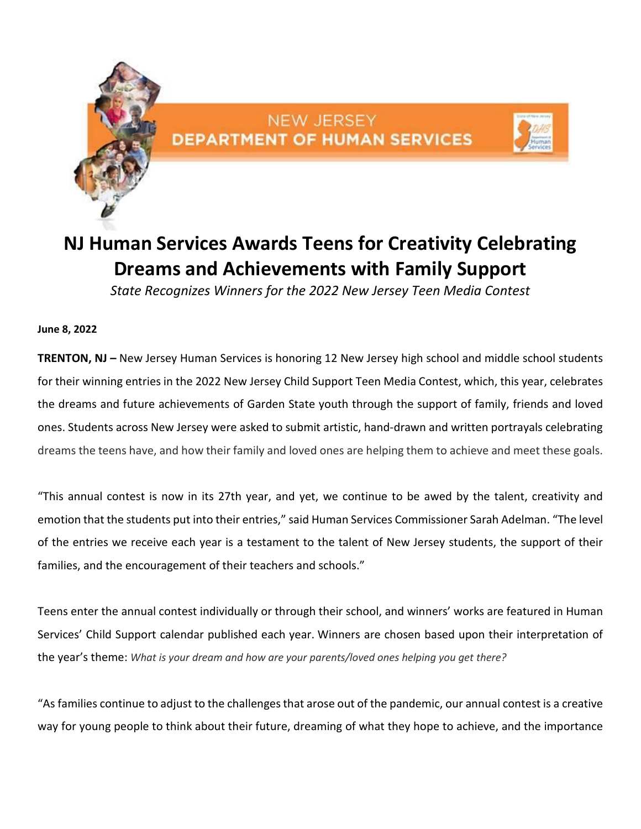

## NEW JERSEY **DEPARTMENT OF HUMAN SERVICES**



# **NJ Human Services Awards Teens for Creativity Celebrating Dreams and Achievements with Family Support**

*State Recognizes Winners for the 2022 New Jersey Teen Media Contest*

#### **June 8, 2022**

**TRENTON, NJ –** New Jersey Human Services is honoring 12 New Jersey high school and middle school students for their winning entries in the 2022 New Jersey Child Support Teen Media Contest, which, this year, celebrates the dreams and future achievements of Garden State youth through the support of family, friends and loved ones. Students across New Jersey were asked to submit artistic, hand-drawn and written portrayals celebrating dreams the teens have, and how their family and loved ones are helping them to achieve and meet these goals.

"This annual contest is now in its 27th year, and yet, we continue to be awed by the talent, creativity and emotion that the students put into their entries," said Human Services Commissioner Sarah Adelman. "The level of the entries we receive each year is a testament to the talent of New Jersey students, the support of their families, and the encouragement of their teachers and schools."

Teens enter the annual contest individually or through their school, and winners' works are featured in Human Services' Child Support calendar published each year. Winners are chosen based upon their interpretation of the year's theme: *What is your dream and how are your parents/loved ones helping you get there?*

"As families continue to adjust to the challenges that arose out of the pandemic, our annual contest is a creative way for young people to think about their future, dreaming of what they hope to achieve, and the importance